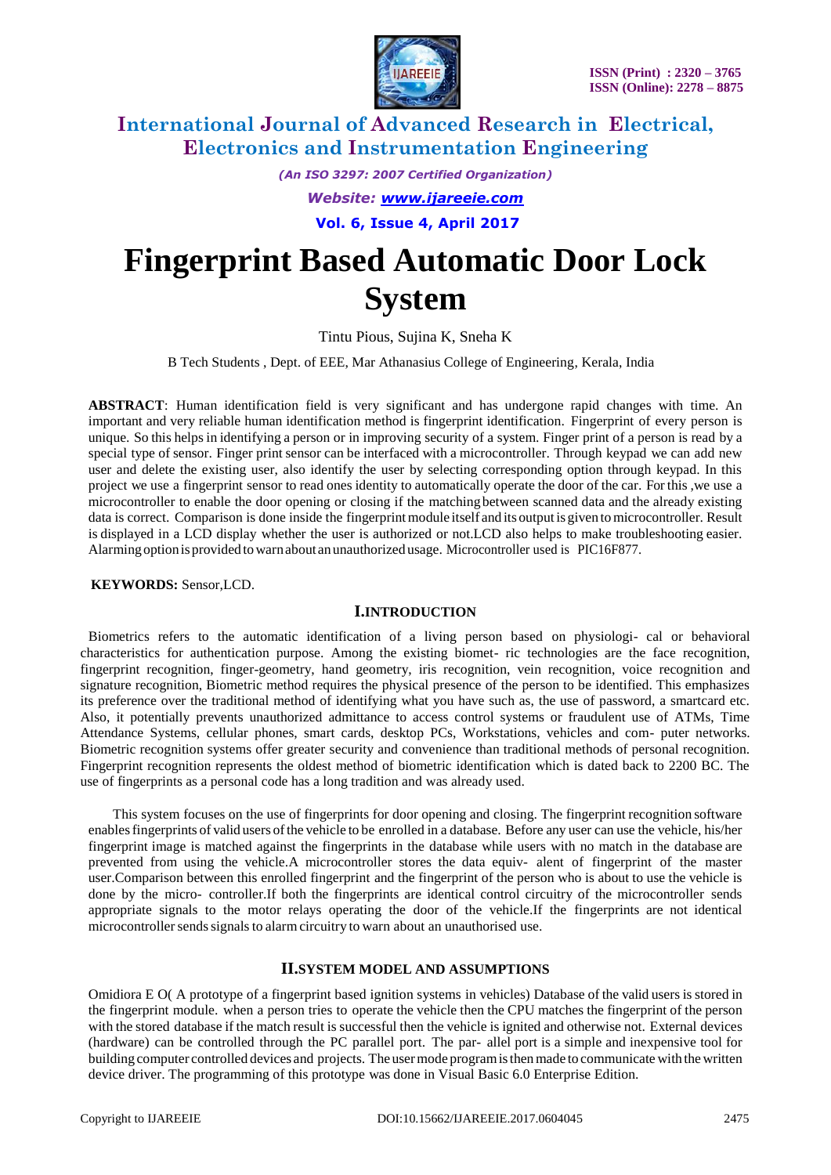

*(An ISO 3297: 2007 Certified Organization)*

*Website: [www.ijareeie.com](http://www.ijareeie.com/)*

**Vol. 6, Issue 4, April 2017**

# **Fingerprint Based Automatic Door Lock System**

Tintu Pious, Sujina K, Sneha K

B Tech Students , Dept. of EEE, Mar Athanasius College of Engineering, Kerala, India

**ABSTRACT**: Human identification field is very significant and has undergone rapid changes with time. An important and very reliable human identification method is fingerprint identification. Fingerprint of every person is unique. So this helpsin identifying a person or in improving security of a system. Finger print of a person is read by a special type of sensor. Finger print sensor can be interfaced with a microcontroller. Through keypad we can add new user and delete the existing user, also identify the user by selecting corresponding option through keypad. In this project we use a fingerprint sensor to read ones identity to automatically operate the door of the car. For this ,we use a microcontroller to enable the door opening or closing if the matchingbetween scanned data and the already existing data is correct. Comparison is done inside the fingerprint module itself and its output is given to microcontroller. Result is displayed in a LCD display whether the user is authorized or not.LCD also helps to make troubleshooting easier. Alarmingoption isprovided towarnabout an unauthorized usage. Microcontroller used is PIC16F877.

**KEYWORDS:** Sensor,LCD.

### **I.INTRODUCTION**

Biometrics refers to the automatic identification of a living person based on physiologi- cal or behavioral characteristics for authentication purpose. Among the existing biomet- ric technologies are the face recognition, fingerprint recognition, finger-geometry, hand geometry, iris recognition, vein recognition, voice recognition and signature recognition, Biometric method requires the physical presence of the person to be identified. This emphasizes its preference over the traditional method of identifying what you have such as, the use of password, a smartcard etc. Also, it potentially prevents unauthorized admittance to access control systems or fraudulent use of ATMs, Time Attendance Systems, cellular phones, smart cards, desktop PCs, Workstations, vehicles and com- puter networks. Biometric recognition systems offer greater security and convenience than traditional methods of personal recognition. Fingerprint recognition represents the oldest method of biometric identification which is dated back to 2200 BC. The use of fingerprints as a personal code has a long tradition and was already used.

This system focuses on the use of fingerprints for door opening and closing. The fingerprint recognition software enablesfingerprints of valid users ofthe vehicle to be enrolled in a database. Before any user can use the vehicle, his/her fingerprint image is matched against the fingerprints in the database while users with no match in the database are prevented from using the vehicle.A microcontroller stores the data equiv- alent of fingerprint of the master user.Comparison between this enrolled fingerprint and the fingerprint of the person who is about to use the vehicle is done by the micro- controller.If both the fingerprints are identical control circuitry of the microcontroller sends appropriate signals to the motor relays operating the door of the vehicle.If the fingerprints are not identical microcontroller sends signals to alarm circuitry to warn about an unauthorised use.

### **II.SYSTEM MODEL AND ASSUMPTIONS**

Omidiora E O( A prototype of a fingerprint based ignition systems in vehicles) Database of the valid users is stored in the fingerprint module. when a person tries to operate the vehicle then the CPU matches the fingerprint of the person with the stored database if the match result is successful then the vehicle is ignited and otherwise not. External devices (hardware) can be controlled through the PC parallel port. The par- allel port is a simple and inexpensive tool for building computer controlled devices and projects. The usermode programisthenmade to communicate with the written device driver. The programming of this prototype was done in Visual Basic 6.0 Enterprise Edition.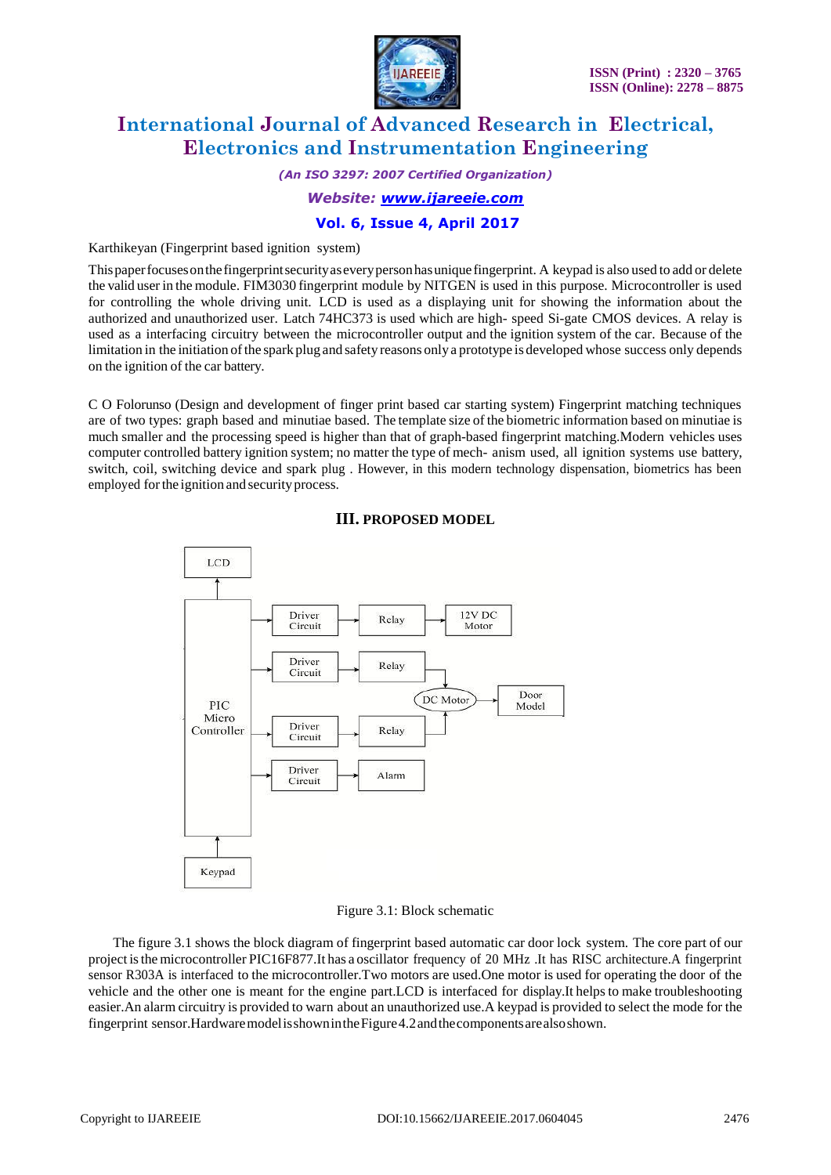

*(An ISO 3297: 2007 Certified Organization) Website: [www.ijareeie.com](http://www.ijareeie.com/)*

## **Vol. 6, Issue 4, April 2017**

Karthikeyan (Fingerprint based ignition system)

Thispaperfocusesonthefingerprintsecurityaseverypersonhasunique fingerprint. A keypad is also used to add or delete the valid user in the module. FIM3030 fingerprint module by NITGEN is used in this purpose. Microcontroller is used for controlling the whole driving unit. LCD is used as a displaying unit for showing the information about the authorized and unauthorized user. Latch 74HC373 is used which are high- speed Si-gate CMOS devices. A relay is used as a interfacing circuitry between the microcontroller output and the ignition system of the car. Because of the limitation in the initiation ofthe spark plug and safety reasons only a prototype is developed whose success only depends on the ignition of the car battery.

C O Folorunso (Design and development of finger print based car starting system) Fingerprint matching techniques are of two types: graph based and minutiae based. The template size of the biometric information based on minutiae is much smaller and the processing speed is higher than that of graph-based fingerprint matching.Modern vehicles uses computer controlled battery ignition system; no matter the type of mech- anism used, all ignition systems use battery, switch, coil, switching device and spark plug . However, in this modern technology dispensation, biometrics has been employed forthe ignition and securityprocess.



### **III. PROPOSED MODEL**

#### Figure 3.1: Block schematic

The figure 3.1 shows the block diagram of fingerprint based automatic car door lock system. The core part of our project isthe microcontroller PIC16F877.It has a oscillator frequency of 20 MHz .It has RISC architecture.A fingerprint sensor R303A is interfaced to the microcontroller.Two motors are used.One motor is used for operating the door of the vehicle and the other one is meant for the engine part.LCD is interfaced for display.It helpsto make troubleshooting easier.An alarm circuitry is provided to warn about an unauthorized use.A keypad is provided to select the mode for the fingerprint sensor.HardwaremodelisshownintheFigure4.2andthecomponentsarealsoshown.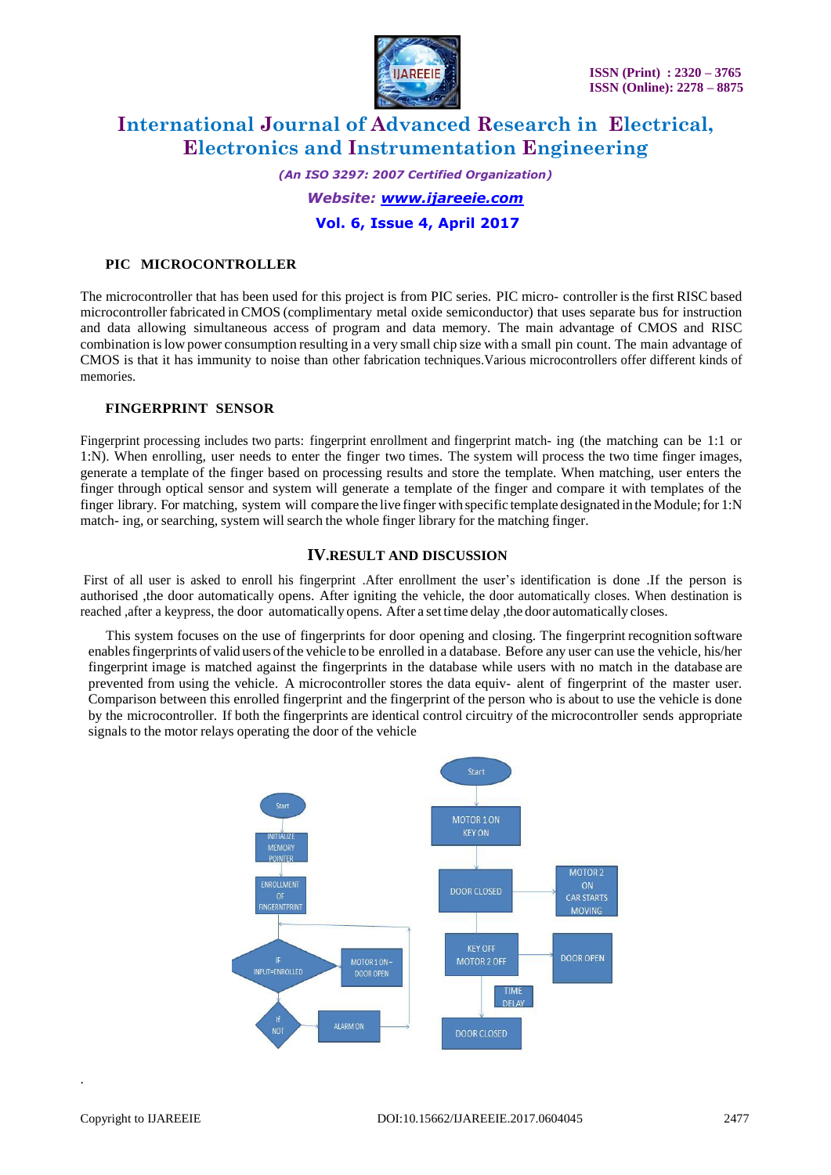

*(An ISO 3297: 2007 Certified Organization) Website: [www.ijareeie.com](http://www.ijareeie.com/)* **Vol. 6, Issue 4, April 2017**

#### **PIC MICROCONTROLLER**

The microcontroller that has been used for this project is from PIC series. PIC micro- controller isthe first RISC based microcontroller fabricated in CMOS (complimentary metal oxide semiconductor) that uses separate bus for instruction and data allowing simultaneous access of program and data memory. The main advantage of CMOS and RISC combination islow power consumption resulting in a very small chip size with a small pin count. The main advantage of CMOS is that it has immunity to noise than other fabrication techniques.Various microcontrollers offer different kinds of memories.

#### **FINGERPRINT SENSOR**

Fingerprint processing includes two parts: fingerprint enrollment and fingerprint match- ing (the matching can be 1:1 or 1:N). When enrolling, user needs to enter the finger two times. The system will process the two time finger images, generate a template of the finger based on processing results and store the template. When matching, user enters the finger through optical sensor and system will generate a template of the finger and compare it with templates of the finger library. For matching, system will compare the live finger with specific template designated in the Module; for 1:N match- ing, or searching, system will search the whole finger library for the matching finger.

### **IV.RESULT AND DISCUSSION**

First of all user is asked to enroll his fingerprint .After enrollment the user's identification is done .If the person is authorised ,the door automatically opens. After igniting the vehicle, the door automatically closes. When destination is reached ,after a keypress, the door automatically opens. After a set time delay ,the door automatically closes.

 This system focuses on the use of fingerprints for door opening and closing. The fingerprint recognition software enablesfingerprints of valid users ofthe vehicle to be enrolled in a database. Before any user can use the vehicle, his/her fingerprint image is matched against the fingerprints in the database while users with no match in the database are prevented from using the vehicle. A microcontroller stores the data equiv- alent of fingerprint of the master user. Comparison between this enrolled fingerprint and the fingerprint of the person who is about to use the vehicle is done by the microcontroller. If both the fingerprints are identical control circuitry of the microcontroller sends appropriate signals to the motor relays operating the door of the vehicle



.